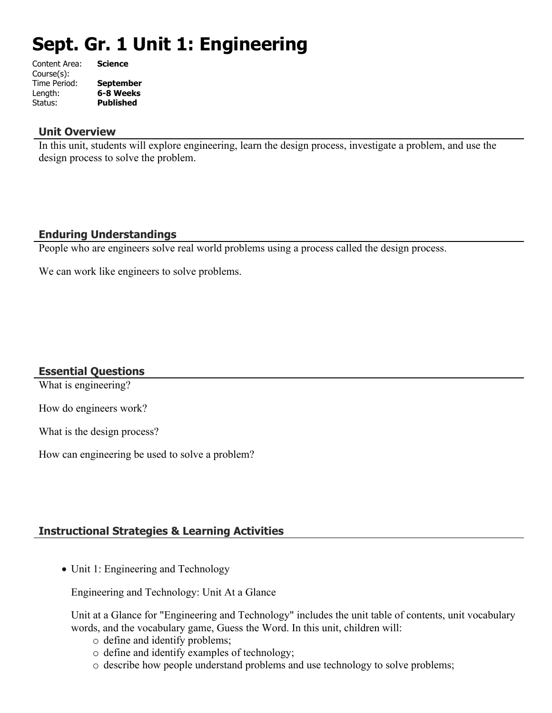# **Sept. Gr. 1 Unit 1: Engineering**

| Content Area: | <b>Science</b>   |
|---------------|------------------|
| Course(s):    |                  |
| Time Period:  | <b>September</b> |
| Length:       | 6-8 Weeks        |
| Status:       | <b>Published</b> |
|               |                  |

#### **Unit Overview**

In this unit, students will explore engineering, learn the design process, investigate a problem, and use the design process to solve the problem.

## **Enduring Understandings**

People who are engineers solve real world problems using a process called the design process.

We can work like engineers to solve problems.

#### **Essential Questions**

What is engineering?

How do engineers work?

What is the design process?

How can engineering be used to solve a problem?

## **Instructional Strategies & Learning Activities**

• Unit 1: Engineering and Technology

Engineering and Technology: Unit At a Glance

Unit at a Glance for "Engineering and Technology" includes the unit table of contents, unit vocabulary words, and the vocabulary game, Guess the Word. In this unit, children will:

- o define and identify problems;
- o define and identify examples of technology;
- o describe how people understand problems and use technology to solve problems;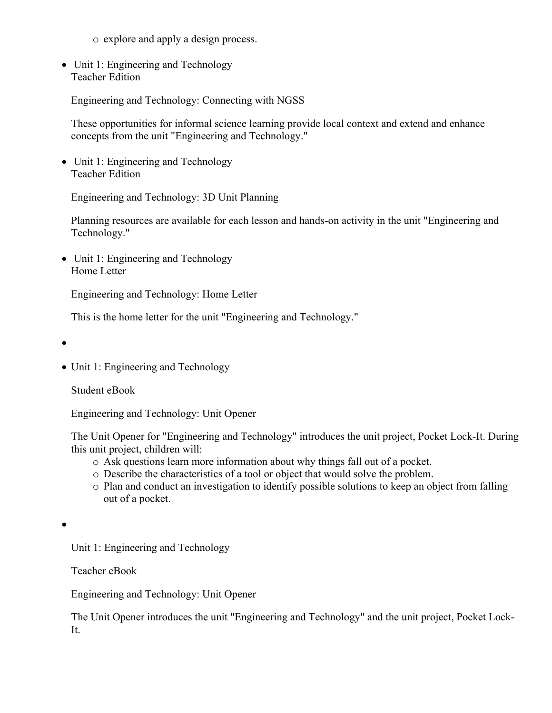o explore and apply a design process.

• Unit 1: Engineering and Technology Teacher Edition

Engineering and Technology: Connecting with NGSS

These opportunities for informal science learning provide local context and extend and enhance concepts from the unit "Engineering and Technology."

• Unit 1: Engineering and Technology Teacher Edition

Engineering and Technology: 3D Unit Planning

Planning resources are available for each lesson and hands-on activity in the unit "Engineering and Technology."

• Unit 1: Engineering and Technology Home Letter

Engineering and Technology: Home Letter

This is the home letter for the unit "Engineering and Technology."

 $\bullet$ 

• Unit 1: Engineering and Technology

Student eBook

Engineering and Technology: Unit Opener

The Unit Opener for "Engineering and Technology" introduces the unit project, Pocket Lock-It. During this unit project, children will:

- o Ask questions learn more information about why things fall out of a pocket.
- o Describe the characteristics of a tool or object that would solve the problem.
- o Plan and conduct an investigation to identify possible solutions to keep an object from falling out of a pocket.

 $\bullet$ 

Unit 1: Engineering and Technology

Teacher eBook

Engineering and Technology: Unit Opener

The Unit Opener introduces the unit "Engineering and Technology" and the unit project, Pocket Lock-It.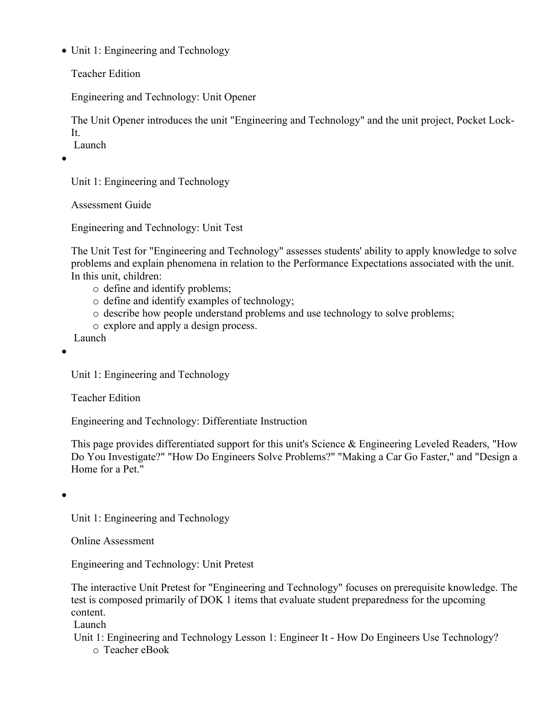• Unit 1: Engineering and Technology

Teacher Edition

Engineering and Technology: Unit Opener

The Unit Opener introduces the unit "Engineering and Technology" and the unit project, Pocket Lock-It. Launch

 $\bullet$ 

Unit 1: Engineering and Technology

Assessment Guide

Engineering and Technology: Unit Test

The Unit Test for "Engineering and Technology" assesses students' ability to apply knowledge to solve problems and explain phenomena in relation to the Performance Expectations associated with the unit. In this unit, children:

- o define and identify problems;
- o define and identify examples of technology;
- o describe how people understand problems and use technology to solve problems;
- o explore and apply a design process.

Launch

 $\bullet$ 

Unit 1: Engineering and Technology

Teacher Edition

Engineering and Technology: Differentiate Instruction

This page provides differentiated support for this unit's Science & Engineering Leveled Readers, "How Do You Investigate?" "How Do Engineers Solve Problems?" "Making a Car Go Faster," and "Design a Home for a Pet."

 $\bullet$ 

Unit 1: Engineering and Technology

Online Assessment

Engineering and Technology: Unit Pretest

The interactive Unit Pretest for "Engineering and Technology" focuses on prerequisite knowledge. The test is composed primarily of DOK 1 items that evaluate student preparedness for the upcoming content.

Launch

 Unit 1: Engineering and Technology Lesson 1: Engineer It - How Do Engineers Use Technology? o Teacher eBook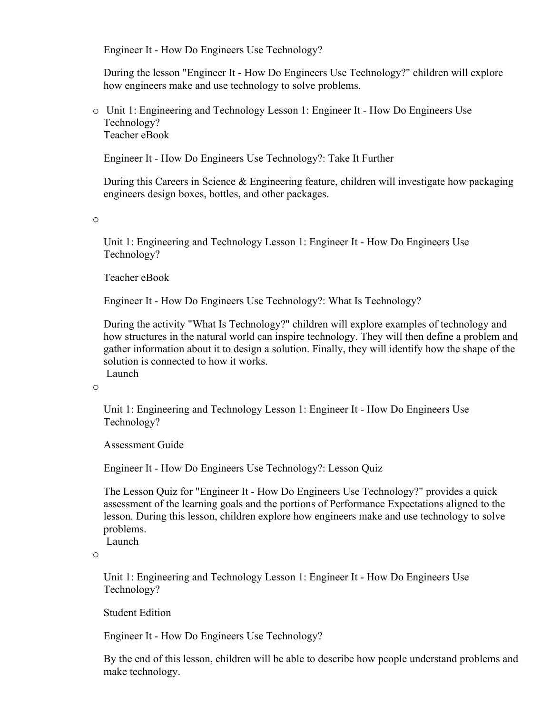Engineer It - How Do Engineers Use Technology?

During the lesson "Engineer It - How Do Engineers Use Technology?" children will explore how engineers make and use technology to solve problems.

o Unit 1: Engineering and Technology Lesson 1: Engineer It - How Do Engineers Use Technology? Teacher eBook

Engineer It - How Do Engineers Use Technology?: Take It Further

During this Careers in Science & Engineering feature, children will investigate how packaging engineers design boxes, bottles, and other packages.

o

Unit 1: Engineering and Technology Lesson 1: Engineer It - How Do Engineers Use Technology?

Teacher eBook

Engineer It - How Do Engineers Use Technology?: What Is Technology?

During the activity "What Is Technology?" children will explore examples of technology and how structures in the natural world can inspire technology. They will then define a problem and gather information about it to design a solution. Finally, they will identify how the shape of the solution is connected to how it works. Launch

o

Unit 1: Engineering and Technology Lesson 1: Engineer It - How Do Engineers Use Technology?

Assessment Guide

Engineer It - How Do Engineers Use Technology?: Lesson Quiz

The Lesson Quiz for "Engineer It - How Do Engineers Use Technology?" provides a quick assessment of the learning goals and the portions of Performance Expectations aligned to the lesson. During this lesson, children explore how engineers make and use technology to solve problems.

Launch

o

Unit 1: Engineering and Technology Lesson 1: Engineer It - How Do Engineers Use Technology?

Student Edition

Engineer It - How Do Engineers Use Technology?

By the end of this lesson, children will be able to describe how people understand problems and make technology.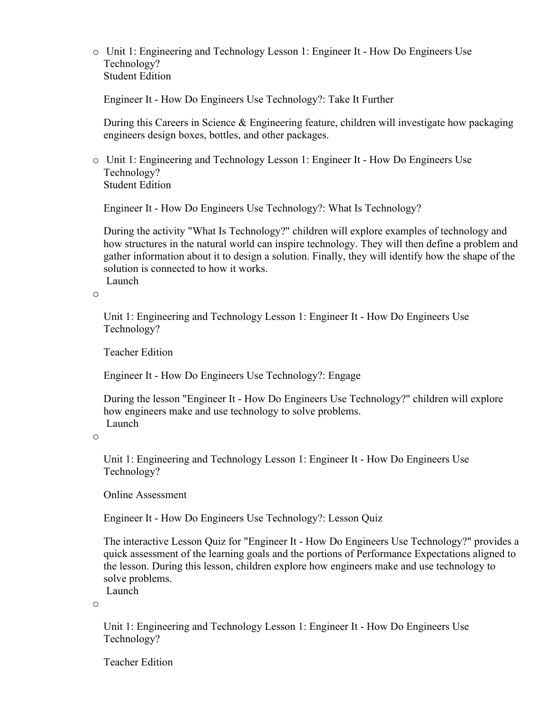o Unit 1: Engineering and Technology Lesson 1: Engineer It - How Do Engineers Use Technology? Student Edition

Engineer It - How Do Engineers Use Technology?: Take It Further

During this Careers in Science & Engineering feature, children will investigate how packaging engineers design boxes, bottles, and other packages.

o Unit 1: Engineering and Technology Lesson 1: Engineer It - How Do Engineers Use Technology? Student Edition

Engineer It - How Do Engineers Use Technology?: What Is Technology?

During the activity "What Is Technology?" children will explore examples of technology and how structures in the natural world can inspire technology. They will then define a problem and gather information about it to design a solution. Finally, they will identify how the shape of the solution is connected to how it works. Launch

o

Unit 1: Engineering and Technology Lesson 1: Engineer It - How Do Engineers Use Technology?

Teacher Edition

Engineer It - How Do Engineers Use Technology?: Engage

During the lesson "Engineer It - How Do Engineers Use Technology?" children will explore how engineers make and use technology to solve problems. Launch

o

Unit 1: Engineering and Technology Lesson 1: Engineer It - How Do Engineers Use Technology?

Online Assessment

Engineer It - How Do Engineers Use Technology?: Lesson Quiz

The interactive Lesson Quiz for "Engineer It - How Do Engineers Use Technology?" provides a quick assessment of the learning goals and the portions of Performance Expectations aligned to the lesson. During this lesson, children explore how engineers make and use technology to solve problems.

Launch

o

Unit 1: Engineering and Technology Lesson 1: Engineer It - How Do Engineers Use Technology?

Teacher Edition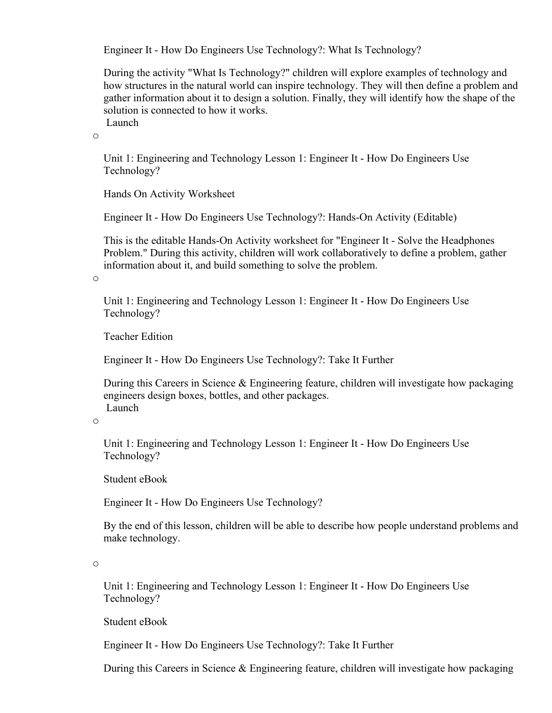Engineer It - How Do Engineers Use Technology?: What Is Technology?

During the activity "What Is Technology?" children will explore examples of technology and how structures in the natural world can inspire technology. They will then define a problem and gather information about it to design a solution. Finally, they will identify how the shape of the solution is connected to how it works. Launch

o

Unit 1: Engineering and Technology Lesson 1: Engineer It - How Do Engineers Use Technology?

Hands On Activity Worksheet

Engineer It - How Do Engineers Use Technology?: Hands-On Activity (Editable)

This is the editable Hands-On Activity worksheet for "Engineer It - Solve the Headphones Problem." During this activity, children will work collaboratively to define a problem, gather information about it, and build something to solve the problem.

o

Unit 1: Engineering and Technology Lesson 1: Engineer It - How Do Engineers Use Technology?

Teacher Edition

Engineer It - How Do Engineers Use Technology?: Take It Further

During this Careers in Science & Engineering feature, children will investigate how packaging engineers design boxes, bottles, and other packages. Launch

o

Unit 1: Engineering and Technology Lesson 1: Engineer It - How Do Engineers Use Technology?

Student eBook

Engineer It - How Do Engineers Use Technology?

By the end of this lesson, children will be able to describe how people understand problems and make technology.

o

Unit 1: Engineering and Technology Lesson 1: Engineer It - How Do Engineers Use Technology?

Student eBook

Engineer It - How Do Engineers Use Technology?: Take It Further

During this Careers in Science & Engineering feature, children will investigate how packaging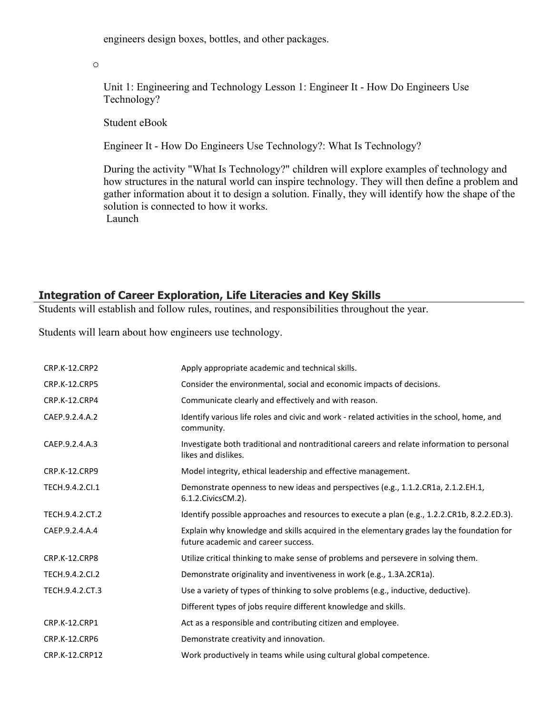engineers design boxes, bottles, and other packages.

o

Unit 1: Engineering and Technology Lesson 1: Engineer It - How Do Engineers Use Technology?

Student eBook

Engineer It - How Do Engineers Use Technology?: What Is Technology?

During the activity "What Is Technology?" children will explore examples of technology and how structures in the natural world can inspire technology. They will then define a problem and gather information about it to design a solution. Finally, they will identify how the shape of the solution is connected to how it works. Launch

#### **Integration of Career Exploration, Life Literacies and Key Skills**

Students will establish and follow rules, routines, and responsibilities throughout the year.

Students will learn about how engineers use technology.

| CRP.K-12.CRP2        | Apply appropriate academic and technical skills.                                                                                 |
|----------------------|----------------------------------------------------------------------------------------------------------------------------------|
| CRP.K-12.CRP5        | Consider the environmental, social and economic impacts of decisions.                                                            |
| CRP.K-12.CRP4        | Communicate clearly and effectively and with reason.                                                                             |
| CAEP.9.2.4.A.2       | Identify various life roles and civic and work - related activities in the school, home, and<br>community.                       |
| CAEP.9.2.4.A.3       | Investigate both traditional and nontraditional careers and relate information to personal<br>likes and dislikes.                |
| CRP.K-12.CRP9        | Model integrity, ethical leadership and effective management.                                                                    |
| TECH.9.4.2.Cl.1      | Demonstrate openness to new ideas and perspectives (e.g., 1.1.2.CR1a, 2.1.2.EH.1,<br>6.1.2. Civics CM. 2).                       |
| TECH.9.4.2.CT.2      | Identify possible approaches and resources to execute a plan (e.g., 1.2.2.CR1b, 8.2.2.ED.3).                                     |
| CAEP.9.2.4.A.4       | Explain why knowledge and skills acquired in the elementary grades lay the foundation for<br>future academic and career success. |
| CRP.K-12.CRP8        | Utilize critical thinking to make sense of problems and persevere in solving them.                                               |
| TECH.9.4.2.Cl.2      | Demonstrate originality and inventiveness in work (e.g., 1.3A.2CR1a).                                                            |
| TECH.9.4.2.CT.3      | Use a variety of types of thinking to solve problems (e.g., inductive, deductive).                                               |
|                      | Different types of jobs require different knowledge and skills.                                                                  |
| <b>CRP.K-12.CRP1</b> | Act as a responsible and contributing citizen and employee.                                                                      |
| <b>CRP.K-12.CRP6</b> | Demonstrate creativity and innovation.                                                                                           |
| CRP.K-12.CRP12       | Work productively in teams while using cultural global competence.                                                               |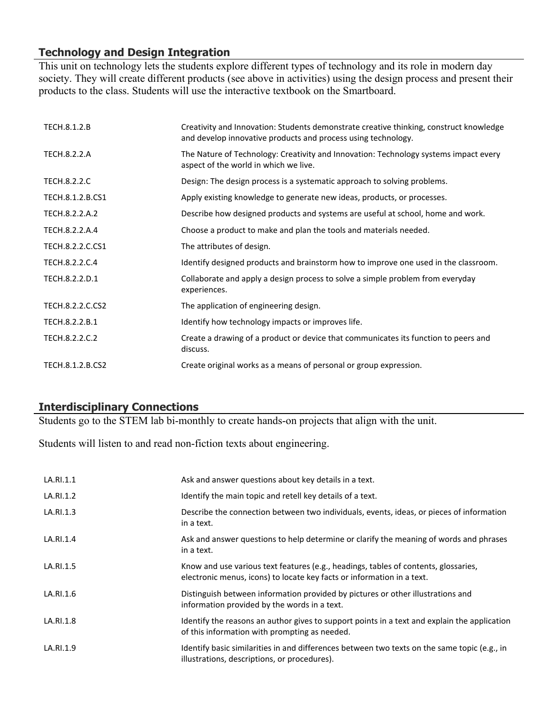## **Technology and Design Integration**

This unit on technology lets the students explore different types of technology and its role in modern day society. They will create different products (see above in activities) using the design process and present their products to the class. Students will use the interactive textbook on the Smartboard.

| TECH.8.1.2.B        | Creativity and Innovation: Students demonstrate creative thinking, construct knowledge<br>and develop innovative products and process using technology. |
|---------------------|---------------------------------------------------------------------------------------------------------------------------------------------------------|
| TECH.8.2.2.A        | The Nature of Technology: Creativity and Innovation: Technology systems impact every<br>aspect of the world in which we live.                           |
| <b>TECH.8.2.2.C</b> | Design: The design process is a systematic approach to solving problems.                                                                                |
| TECH.8.1.2.B.CS1    | Apply existing knowledge to generate new ideas, products, or processes.                                                                                 |
| TECH.8.2.2.A.2      | Describe how designed products and systems are useful at school, home and work.                                                                         |
| TECH.8.2.2.A.4      | Choose a product to make and plan the tools and materials needed.                                                                                       |
| TECH.8.2.2.C.CS1    | The attributes of design.                                                                                                                               |
| TECH.8.2.2.C.4      | Identify designed products and brainstorm how to improve one used in the classroom.                                                                     |
| TECH.8.2.2.D.1      | Collaborate and apply a design process to solve a simple problem from everyday<br>experiences.                                                          |
| TECH.8.2.2.C.CS2    | The application of engineering design.                                                                                                                  |
| TECH.8.2.2.B.1      | Identify how technology impacts or improves life.                                                                                                       |
| TECH.8.2.2.C.2      | Create a drawing of a product or device that communicates its function to peers and<br>discuss.                                                         |
| TECH.8.1.2.B.CS2    | Create original works as a means of personal or group expression.                                                                                       |

### **Interdisciplinary Connections**

Students go to the STEM lab bi-monthly to create hands-on projects that align with the unit.

Students will listen to and read non-fiction texts about engineering.

| LA.RI.1.1 | Ask and answer questions about key details in a text.                                                                                                         |
|-----------|---------------------------------------------------------------------------------------------------------------------------------------------------------------|
| LA.RI.1.2 | Identify the main topic and retell key details of a text.                                                                                                     |
| LA.RI.1.3 | Describe the connection between two individuals, events, ideas, or pieces of information<br>in a text.                                                        |
| LA.RI.1.4 | Ask and answer questions to help determine or clarify the meaning of words and phrases<br>in a text.                                                          |
| LA.RI.1.5 | Know and use various text features (e.g., headings, tables of contents, glossaries,<br>electronic menus, icons) to locate key facts or information in a text. |
| LA.RI.1.6 | Distinguish between information provided by pictures or other illustrations and<br>information provided by the words in a text.                               |
| LA.RI.1.8 | Identify the reasons an author gives to support points in a text and explain the application<br>of this information with prompting as needed.                 |
| LA.RI.1.9 | Identify basic similarities in and differences between two texts on the same topic (e.g., in<br>illustrations, descriptions, or procedures).                  |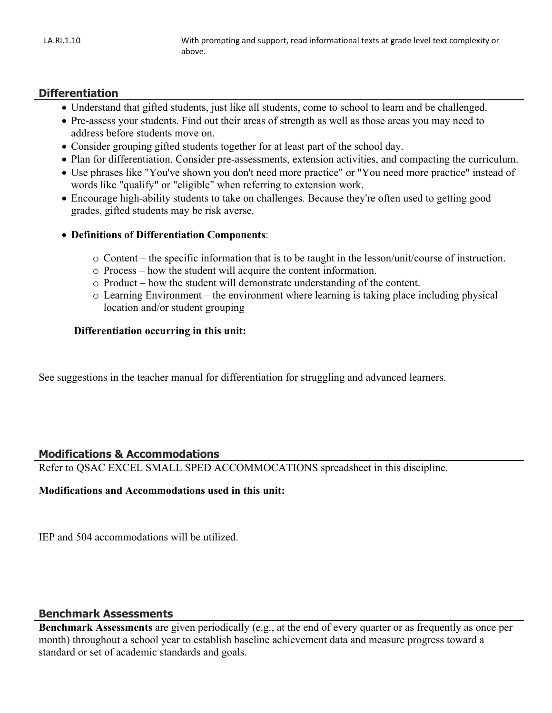#### **Differentiation**

- Understand that gifted students, just like all students, come to school to learn and be challenged.
- Pre-assess your students. Find out their areas of strength as well as those areas you may need to address before students move on.
- Consider grouping gifted students together for at least part of the school day.
- Plan for differentiation. Consider pre-assessments, extension activities, and compacting the curriculum.
- Use phrases like "You've shown you don't need more practice" or "You need more practice" instead of words like "qualify" or "eligible" when referring to extension work.
- Encourage high-ability students to take on challenges. Because they're often used to getting good grades, gifted students may be risk averse.
- **Definitions of Differentiation Components**:
	- o Content the specific information that is to be taught in the lesson/unit/course of instruction.
	- o Process how the student will acquire the content information.
	- o Product how the student will demonstrate understanding of the content.
	- o Learning Environment the environment where learning is taking place including physical location and/or student grouping

#### **Differentiation occurring in this unit:**

See suggestions in the teacher manual for differentiation for struggling and advanced learners.

#### **Modifications & Accommodations**

Refer to QSAC EXCEL SMALL SPED ACCOMMOCATIONS spreadsheet in this discipline.

#### **Modifications and Accommodations used in this unit:**

IEP and 504 accommodations will be utilized.

#### **Benchmark Assessments**

**Benchmark Assessments** are given periodically (e.g., at the end of every quarter or as frequently as once per month) throughout a school year to establish baseline achievement data and measure progress toward a standard or set of academic standards and goals.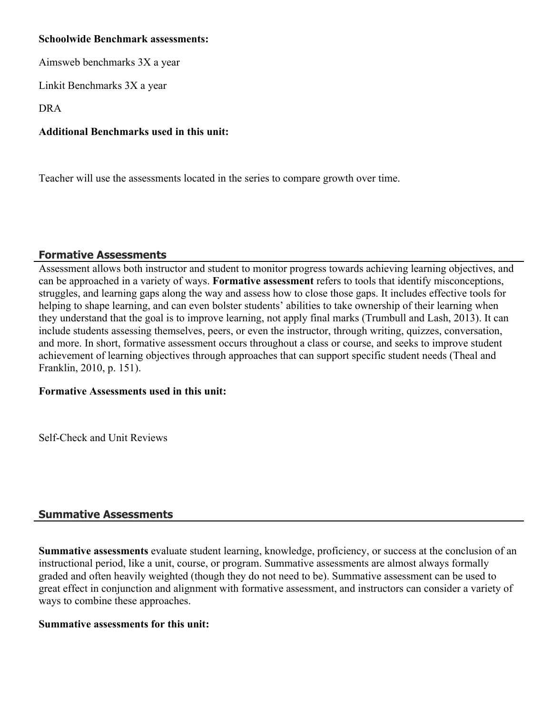#### **Schoolwide Benchmark assessments:**

Aimsweb benchmarks 3X a year

Linkit Benchmarks 3X a year

DRA

### **Additional Benchmarks used in this unit:**

Teacher will use the assessments located in the series to compare growth over time.

### **Formative Assessments**

Assessment allows both instructor and student to monitor progress towards achieving learning objectives, and can be approached in a variety of ways. **Formative assessment** refers to tools that identify misconceptions, struggles, and learning gaps along the way and assess how to close those gaps. It includes effective tools for helping to shape learning, and can even bolster students' abilities to take ownership of their learning when they understand that the goal is to improve learning, not apply final marks (Trumbull and Lash, 2013). It can include students assessing themselves, peers, or even the instructor, through writing, quizzes, conversation, and more. In short, formative assessment occurs throughout a class or course, and seeks to improve student achievement of learning objectives through approaches that can support specific student needs (Theal and Franklin, 2010, p. 151).

#### **Formative Assessments used in this unit:**

Self-Check and Unit Reviews

#### **Summative Assessments**

**Summative assessments** evaluate student learning, knowledge, proficiency, or success at the conclusion of an instructional period, like a unit, course, or program. Summative assessments are almost always formally graded and often heavily weighted (though they do not need to be). Summative assessment can be used to great effect in conjunction and alignment with formative assessment, and instructors can consider a variety of ways to combine these approaches.

#### **Summative assessments for this unit:**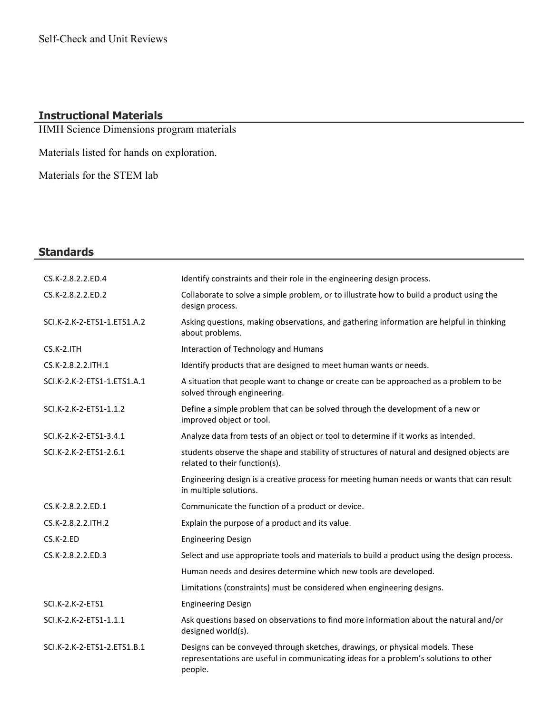## **Instructional Materials**

HMH Science Dimensions program materials

Materials listed for hands on exploration.

Materials for the STEM lab

## **Standards**

| CS.K-2.8.2.2.ED.4           | Identify constraints and their role in the engineering design process.                                                      |
|-----------------------------|-----------------------------------------------------------------------------------------------------------------------------|
| CS.K-2.8.2.2.ED.2           | Collaborate to solve a simple problem, or to illustrate how to build a product using the<br>design process.                 |
| SCI.K-2.K-2-ETS1-1.ETS1.A.2 | Asking questions, making observations, and gathering information are helpful in thinking<br>about problems.                 |
| $CS.K-2.ITH$                | Interaction of Technology and Humans                                                                                        |
| CS.K-2.8.2.2.ITH.1          | Identify products that are designed to meet human wants or needs.                                                           |
| SCI.K-2.K-2-ETS1-1.ETS1.A.1 | A situation that people want to change or create can be approached as a problem to be<br>solved through engineering.        |
| SCI.K-2.K-2-ETS1-1.1.2      | Define a simple problem that can be solved through the development of a new or<br>improved object or tool.                  |
| SCI.K-2.K-2-ETS1-3.4.1      | Analyze data from tests of an object or tool to determine if it works as intended.                                          |
| SCI.K-2.K-2-ETS1-2.6.1      | students observe the shape and stability of structures of natural and designed objects are<br>related to their function(s). |
|                             | Engineering design is a creative process for meeting human needs or wants that can result<br>in multiple solutions.         |
| CS.K-2.8.2.2.ED.1           | Communicate the function of a product or device.                                                                            |
| CS.K-2.8.2.2.ITH.2          | Explain the purpose of a product and its value.                                                                             |
| CS.K-2.ED                   | <b>Engineering Design</b>                                                                                                   |
| CS.K-2.8.2.2.ED.3           | Select and use appropriate tools and materials to build a product using the design process.                                 |
|                             | Human needs and desires determine which new tools are developed.                                                            |
|                             | Limitations (constraints) must be considered when engineering designs.                                                      |
| SCI.K-2.K-2-ETS1            | <b>Engineering Design</b>                                                                                                   |
| SCI.K-2.K-2-ETS1-1.1.1      | Ask questions based on observations to find more information about the natural and/or<br>designed world(s).                 |
| SCI.K-2.K-2-ETS1-2.ETS1.B.1 | Designs can be conveyed through sketches, drawings, or physical models. These                                               |